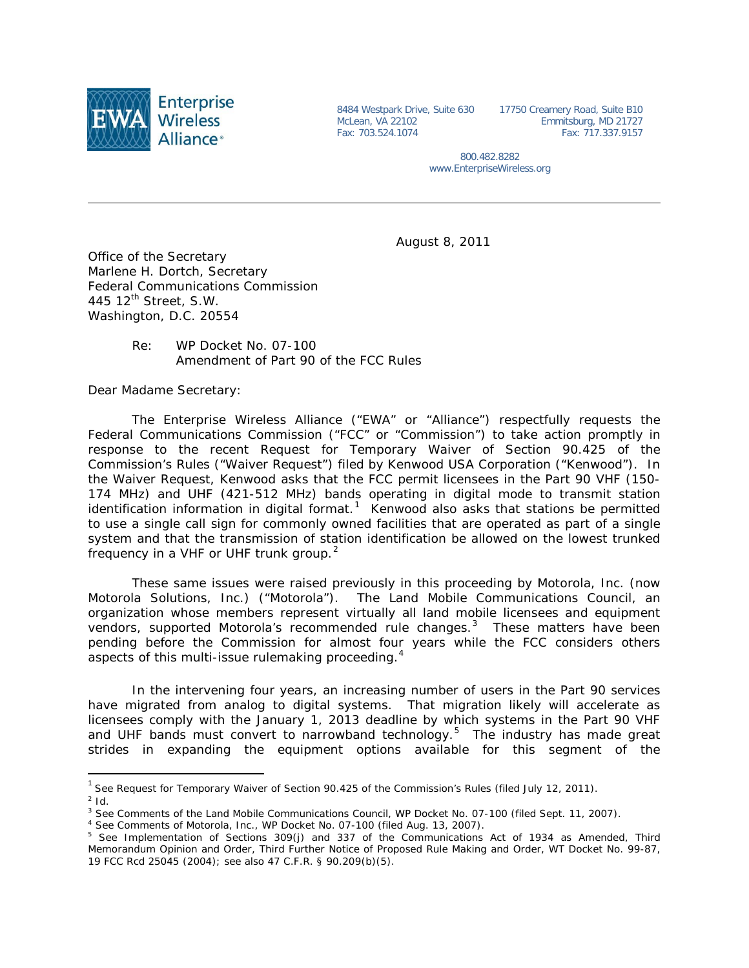

8484 Westpark Drive, Suite 630 McLean, VA 22102 Fax: 703.524.1074

17750 Creamery Road, Suite B10 Emmitsburg, MD 21727 Fax: 717.337.9157

800.482.8282 www.EnterpriseWireless.org

August 8, 2011

Office of the Secretary Marlene H. Dortch, Secretary Federal Communications Commission 445 12<sup>th</sup> Street, S.W. Washington, D.C. 20554

## Re: WP Docket No. 07-100 Amendment of Part 90 of the FCC Rules

Dear Madame Secretary:

The Enterprise Wireless Alliance ("EWA" or "Alliance") respectfully requests the Federal Communications Commission ("FCC" or "Commission") to take action promptly in response to the recent Request for Temporary Waiver of Section 90.425 of the Commission's Rules ("Waiver Request") filed by Kenwood USA Corporation ("Kenwood"). In the Waiver Request, Kenwood asks that the FCC permit licensees in the Part 90 VHF (150- 174 MHz) and UHF (421-512 MHz) bands operating in digital mode to transmit station identification information in digital format.<sup>[1](#page-0-0)</sup> Kenwood also asks that stations be permitted to use a single call sign for commonly owned facilities that are operated as part of a single system and that the transmission of station identification be allowed on the lowest trunked frequency in a VHF or UHF trunk group.<sup>[2](#page-0-1)</sup>

These same issues were raised previously in this proceeding by Motorola, Inc. (now Motorola Solutions, Inc.) ("Motorola"). The Land Mobile Communications Council, an organization whose members represent virtually all land mobile licensees and equipment vendors, supported Motorola's recommended rule changes.<sup>[3](#page-0-2)</sup> These matters have been pending before the Commission for almost four years while the FCC considers others aspects of this multi-issue rulemaking proceeding.<sup>[4](#page-0-3)</sup>

In the intervening four years, an increasing number of users in the Part 90 services have migrated from analog to digital systems. That migration likely will accelerate as licensees comply with the January 1, 2013 deadline by which systems in the Part 90 VHF and UHF bands must convert to narrowband technology.<sup>[5](#page-0-4)</sup> The industry has made great strides in expanding the equipment options available for this segment of the

<span id="page-0-0"></span> <sup>1</sup> *See* Request for Temporary Waiver of Section 90.425 of the Commission's Rules (filed July 12, 2011).

<span id="page-0-1"></span>*<sup>2</sup> Id.*

<span id="page-0-2"></span><sup>3</sup> *See* Comments of the Land Mobile Communications Council, WP Docket No. 07-100 (filed Sept. 11, 2007).

<span id="page-0-3"></span><sup>4</sup> *See* Comments of Motorola, Inc., WP Docket No. 07-100 (filed Aug. 13, 2007).

<span id="page-0-4"></span><sup>5</sup> *See* Implementation of Sections 309(j) and 337 of the Communications Act of 1934 as Amended, *Third Memorandum Opinion and Order, Third Further Notice of Proposed Rule Making and Order*, WT Docket No. 99-87, 19 FCC Rcd 25045 (2004); *see also* 47 C.F.R. § 90.209(b)(5).